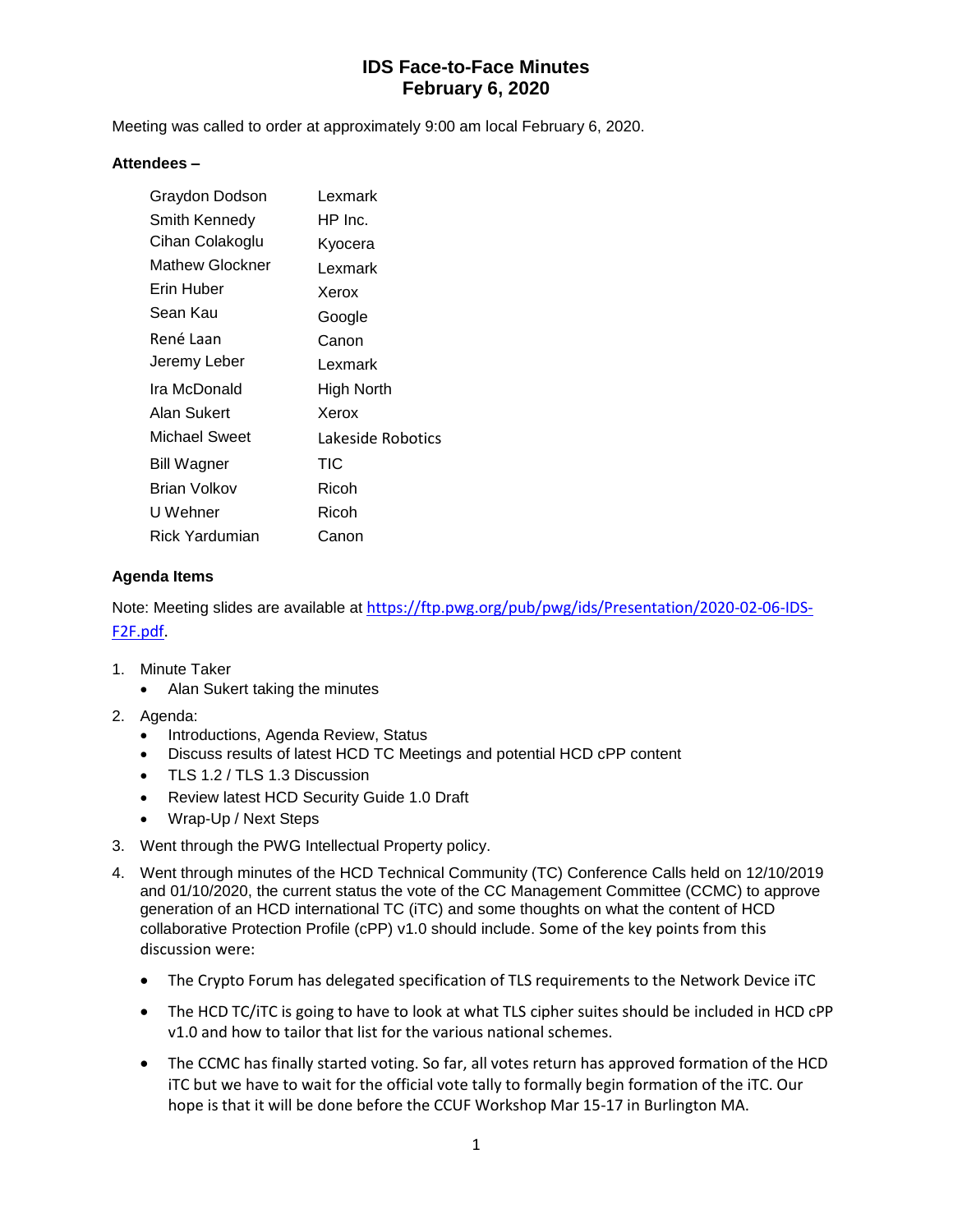# **IDS Face-to-Face Minutes February 6, 2020**

Meeting was called to order at approximately 9:00 am local February 6, 2020.

#### **Attendees –**

| Graydon Dodson         | Lexmark           |
|------------------------|-------------------|
| Smith Kennedy          | HP Inc.           |
| Cihan Colakoglu        | Kyocera           |
| <b>Mathew Glockner</b> | Lexmark           |
| Erin Huber             | Xerox             |
| Sean Kau               | Google            |
| René Laan              | Canon             |
| Jeremy Leber           | Lexmark           |
| Ira McDonald           | High North        |
| Alan Sukert            | Xerox             |
| Michael Sweet          | Lakeside Robotics |
| Bill Wagner            | TIC               |
| Brian Volkov           | Ricoh             |
| U Wehner               | Ricoh             |
| Rick Yardumian         | Canon             |

### **Agenda Items**

Note: Meeting slides are available at [https://ftp.pwg.org/pub/pwg/ids/Presentation/2020-02-06-IDS-](https://ftp.pwg.org/pub/pwg/ids/Presentation/2020-02-06-IDS-F2F.pdf)[F2F.pdf.](https://ftp.pwg.org/pub/pwg/ids/Presentation/2020-02-06-IDS-F2F.pdf)

- 1. Minute Taker
	- Alan Sukert taking the minutes
- 2. Agenda:
	- Introductions, Agenda Review, Status
	- Discuss results of latest HCD TC Meetings and potential HCD cPP content
	- TLS 1.2 / TLS 1.3 Discussion
	- Review latest HCD Security Guide 1.0 Draft
	- Wrap-Up / Next Steps
- 3. Went through the PWG Intellectual Property policy.
- 4. Went through minutes of the HCD Technical Community (TC) Conference Calls held on 12/10/2019 and 01/10/2020, the current status the vote of the CC Management Committee (CCMC) to approve generation of an HCD international TC (iTC) and some thoughts on what the content of HCD collaborative Protection Profile (cPP) v1.0 should include. Some of the key points from this discussion were:
	- The Crypto Forum has delegated specification of TLS requirements to the Network Device iTC
	- The HCD TC/ITC is going to have to look at what TLS cipher suites should be included in HCD cPP v1.0 and how to tailor that list for the various national schemes.
	- The CCMC has finally started voting. So far, all votes return has approved formation of the HCD iTC but we have to wait for the official vote tally to formally begin formation of the iTC. Our hope is that it will be done before the CCUF Workshop Mar 15-17 in Burlington MA.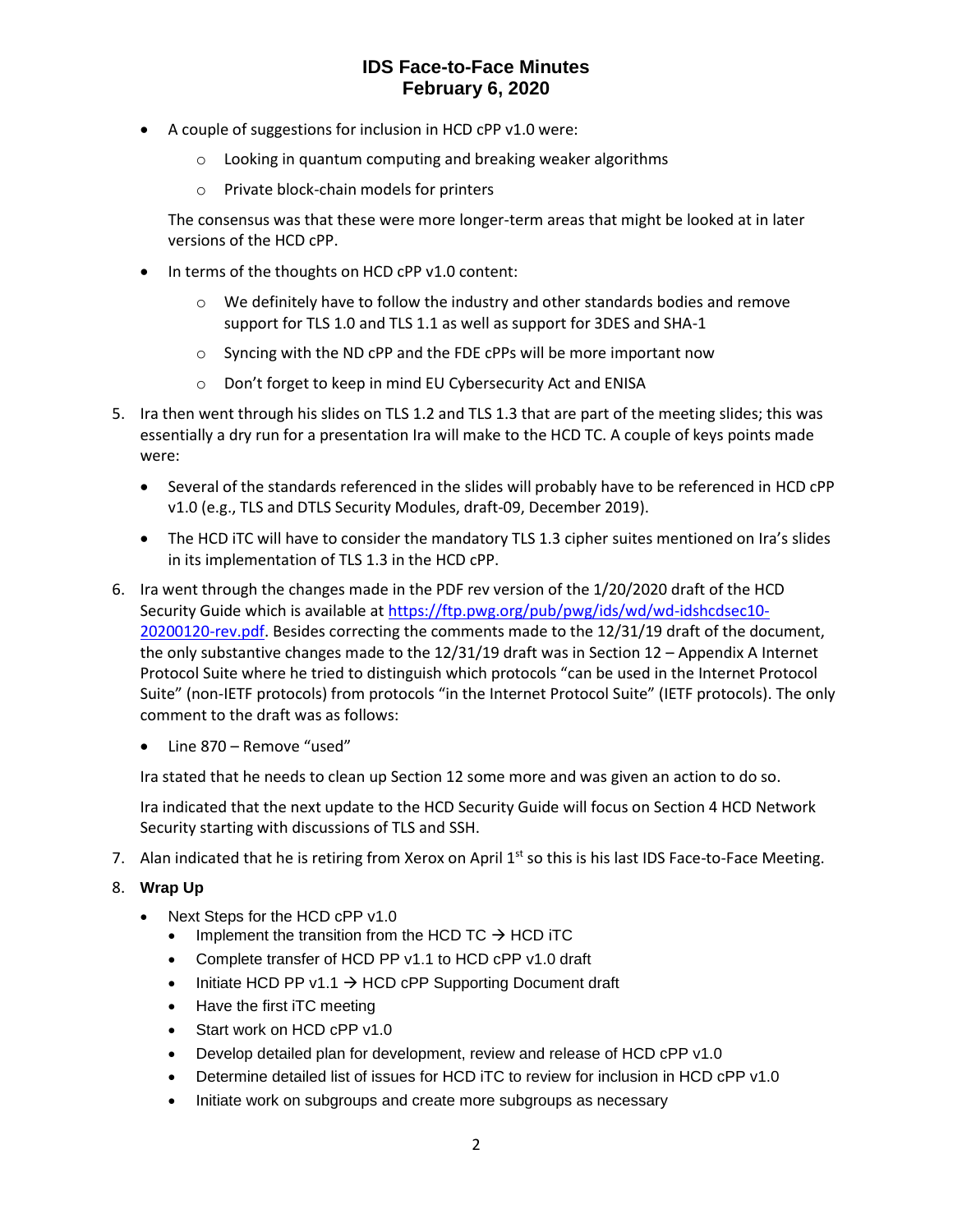## **IDS Face-to-Face Minutes February 6, 2020**

- A couple of suggestions for inclusion in HCD cPP v1.0 were:
	- $\circ$  Looking in quantum computing and breaking weaker algorithms
	- o Private block-chain models for printers

The consensus was that these were more longer-term areas that might be looked at in later versions of the HCD cPP.

- In terms of the thoughts on HCD cPP v1.0 content:
	- $\circ$  We definitely have to follow the industry and other standards bodies and remove support for TLS 1.0 and TLS 1.1 as well as support for 3DES and SHA-1
	- o Syncing with the ND cPP and the FDE cPPs will be more important now
	- o Don't forget to keep in mind EU Cybersecurity Act and ENISA
- 5. Ira then went through his slides on TLS 1.2 and TLS 1.3 that are part of the meeting slides; this was essentially a dry run for a presentation Ira will make to the HCD TC. A couple of keys points made were:
	- Several of the standards referenced in the slides will probably have to be referenced in HCD cPP v1.0 (e.g., TLS and DTLS Security Modules, draft-09, December 2019).
	- The HCD iTC will have to consider the mandatory TLS 1.3 cipher suites mentioned on Ira's slides in its implementation of TLS 1.3 in the HCD cPP.
- 6. Ira went through the changes made in the PDF rev version of the 1/20/2020 draft of the HCD Security Guide which is available at [https://ftp.pwg.org/pub/pwg/ids/wd/wd-idshcdsec10-](https://ftp.pwg.org/pub/pwg/ids/wd/wd-idshcdsec10-20200120-rev.pdf) [20200120-rev.pdf.](https://ftp.pwg.org/pub/pwg/ids/wd/wd-idshcdsec10-20200120-rev.pdf) Besides correcting the comments made to the 12/31/19 draft of the document, the only substantive changes made to the 12/31/19 draft was in Section 12 – Appendix A Internet Protocol Suite where he tried to distinguish which protocols "can be used in the Internet Protocol Suite" (non-IETF protocols) from protocols "in the Internet Protocol Suite" (IETF protocols). The only comment to the draft was as follows:
	- Line 870 Remove "used"

Ira stated that he needs to clean up Section 12 some more and was given an action to do so.

Ira indicated that the next update to the HCD Security Guide will focus on Section 4 HCD Network Security starting with discussions of TLS and SSH.

- 7. Alan indicated that he is retiring from Xerox on April  $1<sup>st</sup>$  so this is his last IDS Face-to-Face Meeting.
- 8. **Wrap Up**
	- Next Steps for the HCD cPP v1.0
		- Implement the transition from the HCD TC  $\rightarrow$  HCD iTC
		- Complete transfer of HCD PP v1.1 to HCD cPP v1.0 draft
		- Initiate HCD PP v1.1  $\rightarrow$  HCD cPP Supporting Document draft
		- Have the first iTC meeting
		- Start work on HCD cPP v1.0
		- Develop detailed plan for development, review and release of HCD cPP v1.0
		- Determine detailed list of issues for HCD iTC to review for inclusion in HCD cPP v1.0
		- Initiate work on subgroups and create more subgroups as necessary